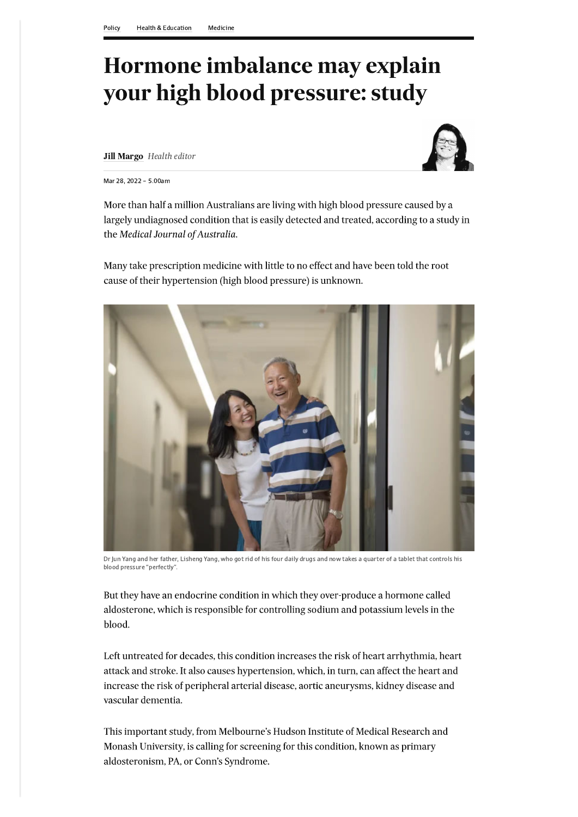## Hormone imbalance may explain<br>your high blood pressure: study Normon Medical Chinacterism Medicine<br>
Mormon **implant Dividend Pressure: study**<br>
Juli Margo *Health editor*<br>
Juli Margo *Health editor*<br>
More than half a million Australians are living with high blood pressure caused by a<br>

**Jill Margo** Health editor



Mar 28, 2022 - 5.00am

More than half a million Australians are living with high blood pressure caused by a largely undiagnosed condition that is easily detected and treated, according to a study in the Medical Journal of Australia.

Many take prescription medicine with little to no effect and have been told the root cause of their hypertension (high blood pressure) is unknown.



Dr Jun Yang and her father, Lisneng Yang, who got rid of his four daily drugs and how takes a quarter of a tablet that controls his  $\sim$ blood pressure "perfectly".

But they have an endocrine condition in which they over-produce a hormone called aldosterone, which is responsible for controlling sodium and potassium levels in the

blood.

Left untreated for decades, this condition increases the risk of heart arrhythmia, heart attack and stroke. It also causes hypertension, which, in turn, can affect the heart and increase the risk of peripheral arterial disease, aortic aneurysms, kidney disease and vascular dementia.

This important study, from Melbourne's Hudson Institute of Medical Research and Monash University, is calling for screening for this condition, known as primary aldosteronism, PA, or Conn's Syndrome.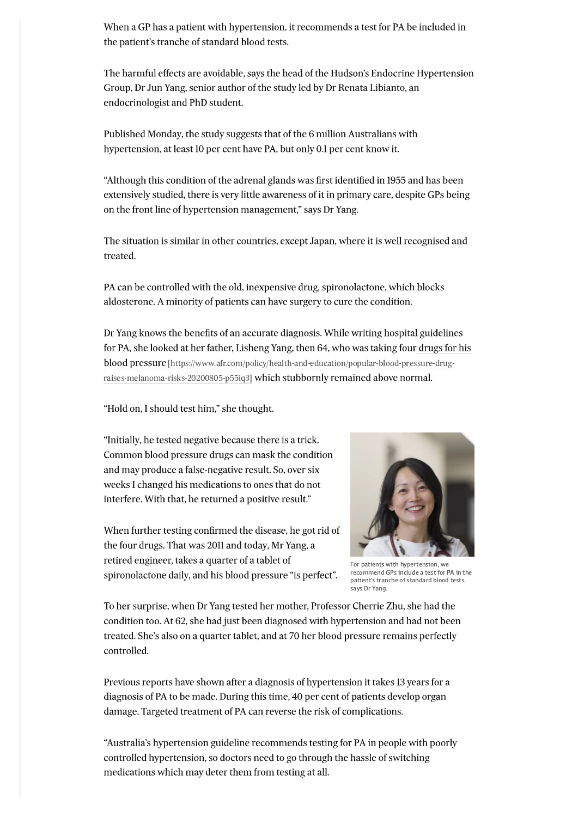When a GP has a patient with hypertension, it recommends a test for PA be included in the patient's tranche of standard blood tests.

The harmful effects are avoidable, says the head of the Hudson's Endocrine Hypertension Group, Dr Jun Yang, senior author of the study led by Dr Renata Libianto, an endocrinologist and PhD student.

Published Monday, the study suggests that of the 6 million Australians with hypertension, at least 10 per cent have PA, but only 0.1 per cent know it.

"Although this condition of the adrenal glands was first identified in 1955 and has been extensively studied, there is very little awareness of it in primary care, despite GPs being on the front line of hypertension management," says Dr Yang.

The situation is similar in other countries, except Japan, where it is well recognised and treated.

PA can be controlled with the old, inexpensive drug, spironolactone, which blocks aldosterone. A minority of patients can have surgery to cure the condition.

Dr Yang knows the benefits of an accurate diagnosis. While writing hospital guidelines for PA, she looked at her father, Lisheng Yang, then 64, who was taking four drugs for his **blood pressure** [https://www.afr.com/policy/health-and-education/popular-blood-pressure-drugraises-melanoma-risks-20200805-p55iq3] which stubbornly remained above normal.

"Hold on, I should test him," she thought.

"Initially, he tested negative because there is a trick. Common blood pressure drugs can mask the condition and may produce a false-negative result. So, over six weeks I changed his medications to ones that do not interfere. With that, he returned a positive result."

When further testing confirmed the disease, he got rid of the four drugs. That was 2011 and today, Mr Yang, a retired engineer, takes a quarter of a tablet of spironolactone daily, and his blood pressure "is perfect".



For patients with hypertension, we recommend GPs include a test for PA in the patient's tranche of standard blood tests, says Dr Yang.

To her surprise, when Dr Yang tested her mother, Professor Cherrie Zhu, she had the condition too. At 62, she had just been diagnosed with hypertension and had not been treated. She's also on a quarter tablet, and at 70 her blood pressure remains perfectly controlled.

Previous reports have shown after a diagnosis of hypertension it takes 13 years for a diagnosis of PA to be made. During this time, 40 per cent of patients develop organ damage. Targeted treatment of PA can reverse the risk of complications.

"Australia's hypertension guideline recommends testing for PA in people with poorly controlled hypertension, so doctors need to go through the hassle of switching medications which may deter them from testing at all.